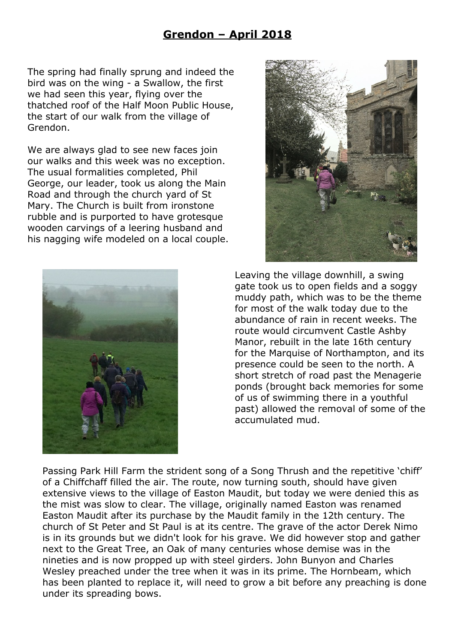## **Grendon – April 2018**

The spring had finally sprung and indeed the bird was on the wing - a Swallow, the first we had seen this year, flying over the thatched roof of the Half Moon Public House, the start of our walk from the village of Grendon.

We are always glad to see new faces join our walks and this week was no exception. The usual formalities completed, Phil George, our leader, took us along the Main Road and through the church yard of St Mary. The Church is built from ironstone rubble and is purported to have grotesque wooden carvings of a leering husband and his nagging wife modeled on a local couple.





Leaving the village downhill, a swing gate took us to open fields and a soggy muddy path, which was to be the theme for most of the walk today due to the abundance of rain in recent weeks. The route would circumvent Castle Ashby Manor, rebuilt in the late 16th century for the Marquise of Northampton, and its presence could be seen to the north. A short stretch of road past the Menagerie ponds (brought back memories for some of us of swimming there in a youthful past) allowed the removal of some of the accumulated mud.

Passing Park Hill Farm the strident song of a Song Thrush and the repetitive 'chiff' of a Chiffchaff filled the air. The route, now turning south, should have given extensive views to the village of Easton Maudit, but today we were denied this as the mist was slow to clear. The village, originally named Easton was renamed Easton Maudit after its purchase by the Maudit family in the 12th century. The church of St Peter and St Paul is at its centre. The grave of the actor Derek Nimo is in its grounds but we didn't look for his grave. We did however stop and gather next to the Great Tree, an Oak of many centuries whose demise was in the nineties and is now propped up with steel girders. John Bunyon and Charles Wesley preached under the tree when it was in its prime. The Hornbeam, which has been planted to replace it, will need to grow a bit before any preaching is done under its spreading bows.